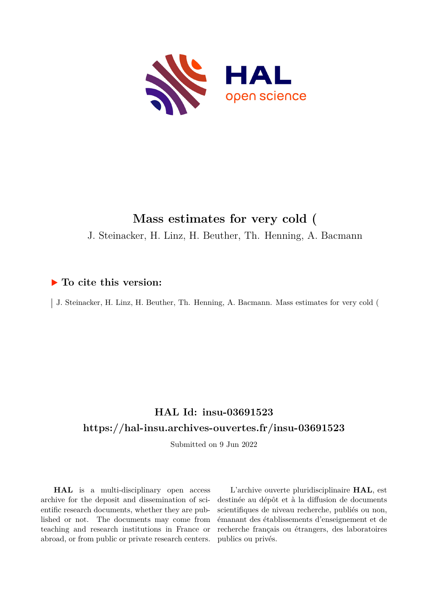

# **Mass estimates for very cold (**

J. Steinacker, H. Linz, H. Beuther, Th. Henning, A. Bacmann

### **To cite this version:**

J. Steinacker, H. Linz, H. Beuther, Th. Henning, A. Bacmann. Mass estimates for very cold (

## **HAL Id: insu-03691523 <https://hal-insu.archives-ouvertes.fr/insu-03691523>**

Submitted on 9 Jun 2022

**HAL** is a multi-disciplinary open access archive for the deposit and dissemination of scientific research documents, whether they are published or not. The documents may come from teaching and research institutions in France or abroad, or from public or private research centers.

L'archive ouverte pluridisciplinaire **HAL**, est destinée au dépôt et à la diffusion de documents scientifiques de niveau recherche, publiés ou non, émanant des établissements d'enseignement et de recherche français ou étrangers, des laboratoires publics ou privés.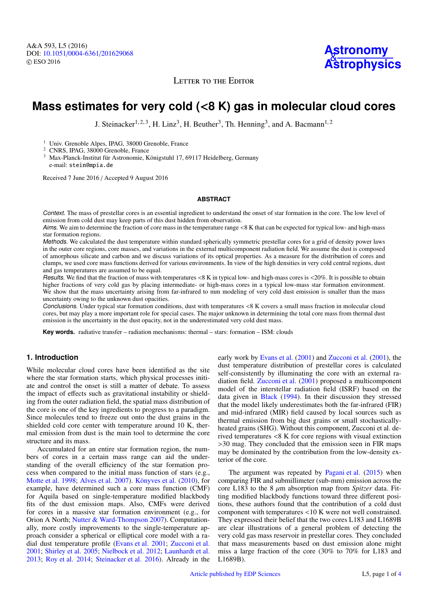LETTER TO THE EDITOR

### **Mass estimates for very cold (**<**8 K) gas in molecular cloud cores**

J. Steinacker<sup>1, 2, 3</sup>, H. Linz<sup>3</sup>, H. Beuther<sup>3</sup>, Th. Henning<sup>3</sup>, and A. Bacmann<sup>1, 2</sup>

<sup>1</sup> Univ. Grenoble Alpes, IPAG, 38000 Grenoble, France

<sup>2</sup> CNRS, IPAG, 38000 Grenoble, France

<sup>3</sup> Max-Planck-Institut für Astronomie, Königstuhl 17, 69117 Heidelberg, Germany e-mail: stein@mpia.de

Received 7 June 2016 / Accepted 9 August 2016

#### **ABSTRACT**

Context. The mass of prestellar cores is an essential ingredient to understand the onset of star formation in the core. The low level of emission from cold dust may keep parts of this dust hidden from observation.

Aims. We aim to determine the fraction of core mass in the temperature range <8 K that can be expected for typical low- and high-mass star formation regions.

Methods. We calculated the dust temperature within standard spherically symmetric prestellar cores for a grid of density power laws in the outer core regions, core masses, and variations in the external multicomponent radiation field. We assume the dust is composed of amorphous silicate and carbon and we discuss variations of its optical properties. As a measure for the distribution of cores and clumps, we used core mass functions derived for various environments. In view of the high densities in very cold central regions, dust and gas temperatures are assumed to be equal.

Results. We find that the fraction of mass with temperatures <8 K in typical low- and high-mass cores is <20%. It is possible to obtain higher fractions of very cold gas by placing intermediate- or high-mass cores in a typical low-mass star formation environment. We show that the mass uncertainty arising from far-infrared to mm modeling of very cold dust emission is smaller than the mass uncertainty owing to the unknown dust opacities.

Conclusions. Under typical star formation conditions, dust with temperatures <8 K covers a small mass fraction in molecular cloud cores, but may play a more important role for special cases. The major unknown in determining the total core mass from thermal dust emission is the uncertainty in the dust opacity, not in the underestimated very cold dust mass.

**Key words.** radiative transfer – radiation mechanisms: thermal – stars: formation – ISM: clouds

#### **1. Introduction**

While molecular cloud cores have been identified as the site where the star formation starts, which physical processes initiate and control the onset is still a matter of debate. To assess the impact of effects such as gravitational instability or shielding from the outer radiation field, the spatial mass distribution of the core is one of the key ingredients to progress to a paradigm. Since molecules tend to freeze out onto the dust grains in the shielded cold core center with temperature around 10 K, thermal emission from dust is the main tool to determine the core structure and its mass.

Accumulated for an entire star formation region, the numbers of cores in a certain mass range can aid the understanding of the overall efficiency of the star formation process when compared to the initial mass function of stars (e.g., Motte et al. 1998; Alves et al. 2007). Könyves et al. (2010), for example, have determined such a core mass function (CMF) for Aquila based on single-temperature modified blackbody fits of the dust emission maps. Also, CMFs were derived for cores in a massive star formation environment (e.g., for Orion A North; Nutter & Ward-Thompson 2007). Computationally, more costly improvements to the single-temperature approach consider a spherical or elliptical core model with a radial dust temperature profile (Evans et al. 2001; Zucconi et al. 2001; Shirley et al. 2005; Nielbock et al. 2012; Launhardt et al. 2013; Roy et al. 2014; Steinacker et al. 2016). Already in the early work by Evans et al. (2001) and Zucconi et al. (2001), the dust temperature distribution of prestellar cores is calculated self-consistently by illuminating the core with an external radiation field. Zucconi et al. (2001) proposed a multicomponent model of the interstellar radiation field (ISRF) based on the data given in Black (1994). In their discussion they stressed that the model likely underestimates both the far-infrared (FIR) and mid-infrared (MIR) field caused by local sources such as thermal emission from big dust grains or small stochasticallyheated grains (SHG). Without this component, Zucconi et al. derived temperatures <8 K for core regions with visual extinction >30 mag. They concluded that the emission seen in FIR maps may be dominated by the contribution from the low-density exterior of the core.

The argument was repeated by Pagani et al. (2015) when comparing FIR and submillimeter (sub-mm) emission across the core L183 to the 8  $\mu$ m absorption map from *Spitzer* data. Fitting modified blackbody functions toward three different positions, these authors found that the contribution of a cold dust component with temperatures <10 K were not well constrained. They expressed their belief that the two cores L183 and L1689B are clear illustrations of a general problem of detecting the very cold gas mass reservoir in prestellar cores. They concluded that mass measurements based on dust emission alone might miss a large fraction of the core (30% to 70% for L183 and L1689B).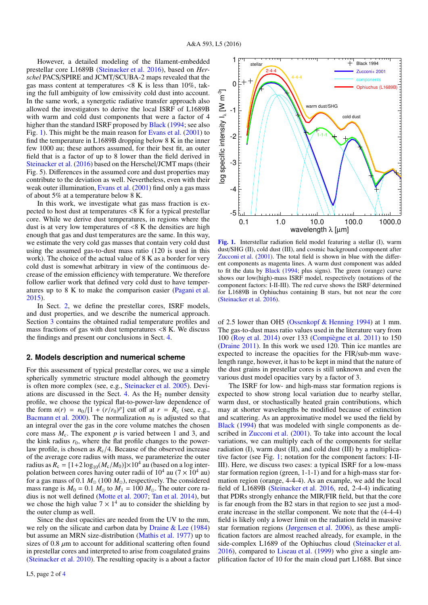However, a detailed modeling of the filament-embedded prestellar core L1689B (Steinacker et al. 2016), based on *Herschel* PACS/SPIRE and JCMT/SCUBA-2 maps revealed that the gas mass content at temperatures  $\langle 8 \text{ K} \rangle$  is less than 10%, taking the full ambiguity of low emissivity cold dust into account. In the same work, a synergetic radiative transfer approach also allowed the investigators to derive the local ISRF of L1689B with warm and cold dust components that were a factor of 4 higher than the standard ISRF proposed by **Black** (1994; see also Fig. 1). This might be the main reason for Evans et al. (2001) to find the temperature in L1689B dropping below 8 K in the inner few 1000 au; these authors assumed, for their best fit, an outer field that is a factor of up to 8 lower than the field derived in Steinacker et al. (2016) based on the Herschel/JCMT maps (their Fig. 5). Differences in the assumed core and dust properties may contribute to the deviation as well. Nevertheless, even with their weak outer illumination, Evans et al. (2001) find only a gas mass of about 5% at a temperature below 8 K.

In this work, we investigate what gas mass fraction is expected to host dust at temperatures <8 K for a typical prestellar core. While we derive dust temperatures, in regions where the dust is at very low temperatures of  $\langle 8 \text{ K} \rangle$  the densities are high enough that gas and dust temperatures are the same. In this way, we estimate the very cold gas masses that contain very cold dust using the assumed gas-to-dust mass ratio (120 is used in this work). The choice of the actual value of 8 K as a border for very cold dust is somewhat arbitrary in view of the continuous decrease of the emission efficiency with temperature. We therefore follow earlier work that defined very cold dust to have temperatures up to 8 K to make the comparison easier (Pagani et al. 2015).

In Sect. 2, we define the prestellar cores, ISRF models, and dust properties, and we describe the numerical approach. Section 3 contains the obtained radial temperature profiles and mass fractions of gas with dust temperatures <8 K. We discuss the findings and present our conclusions in Sect. 4.

#### **2. Models description and numerical scheme**

For this assessment of typical prestellar cores, we use a simple spherically symmetric structure model although the geometry is often more complex (see, e.g., Steinacker et al. 2005). Deviations are discussed in the Sect. 4. As the  $H_2$  number density profile, we choose the typical flat-to-power-law dependence of the form  $n(r) = n_0/[1 + (r/r_0)^p]$  cut off at  $r = R_c$  (see, e.g., Bacmann et al. 2000). The normalization  $n_0$  is adjusted so that Bacmann et al. 2000). The normalization  $n_0$  is adjusted so that an integral over the gas in the core volume matches the chosen core mass  $M_c$ . The exponent  $p$  is varied between 1 and 3, and the kink radius  $r_0$ , where the flat profile changes to the powerlaw profile, is chosen as  $R_c/4$ . Because of the observed increase of the average core radius with mass, we parameterize the outer radius as  $R_c = [1+2 \log_{10}(M_c/M_0)] \times 10^4$  au (based on a log inter-<br>polation between cores having outer radii of  $10^4$  au (7  $\times$  10<sup>4</sup> au) polation between cores having outer radii of  $10^4$  au  $(7 \times 10^4$  au) for a gas mass of 0.1  $M_{\odot}$  (100  $M_{\odot}$ ), respectively. The considered mass range is  $M_0 = 0.1$   $M_\odot$  to  $M_1 = 100$   $M_\odot$ . The outer core radius is not well defined (Motte et al. 2007; Tan et al. 2014), but we chose the high value  $7 \times 1^4$  au to consider the shielding by the outer clump as well.

Since the dust opacities are needed from the UV to the mm, we rely on the silicate and carbon data by Draine & Lee (1984) but assume an MRN size-distribution (Mathis et al. 1977) up to sizes of 0.8  $\mu$ m to account for additional scattering often found in prestellar cores and interpreted to arise from coagulated grains (Steinacker et al. 2010). The resulting opacity is a about a factor



[Fig. 1.](http://dexter.edpsciences.org/applet.php?DOI=10.1051/0004-6361/201629068&pdf_id=1) Interstellar radiation field model featuring a stellar (I), warm dust/SHG (II), cold dust (III), and cosmic background component after Zucconi et al. (2001). The total field is shown in blue with the different components as magenta lines. A warm dust component was added to fit the data by Black (1994; plus signs). The green (orange) curve shows our low(high)-mass ISRF model, respectively (notations of the component factors: I-II-III). The red curve shows the ISRF determined for L1689B in Ophiuchus containing B stars, but not near the core (Steinacker et al. 2016).

of 2.5 lower than OH5 (Ossenkopf & Henning 1994) at 1 mm. The gas-to-dust mass ratio values used in the literature vary from 100 (Roy et al. 2014) over 133 (Compiègne et al. 2011) to 150 (Draine 2011). In this work we used 120. Thin ice mantles are expected to increase the opacities for the FIR/sub-mm wavelength range, however, it has to be kept in mind that the nature of the dust grains in prestellar cores is still unknown and even the various dust model opacities vary by a factor of 3.

The ISRF for low- and high-mass star formation regions is expected to show strong local variation due to nearby stellar, warm dust, or stochastically heated grain contributions, which may at shorter wavelengths be modified because of extinction and scattering. As an approximative model we used the field by Black (1994) that was modeled with single components as described in Zucconi et al. (2001). To take into account the local variations, we can multiply each of the components for stellar radiation (I), warm dust (II), and cold dust (III) by a multiplicative factor (see Fig. 1; notation for the component factors: I-II-III). Here, we discuss two cases: a typical ISRF for a low-mass star formation region (green, 1-1-1) and for a high-mass star formation region (orange, 4-4-4). As an example, we add the local field of L1689B (Steinacker et al. 2016, red, 2-4-4) indicating that PDRs strongly enhance the MIR/FIR field, but that the core is far enough from the B2 stars in that region to see just a moderate increase in the stellar component. We note that the (4-4-4) field is likely only a lower limit on the radiation field in massive star formation regions (Jørgensen et al. 2006), as these amplification factors are almost reached already, for example, in the side-complex L1689 of the Ophiuchus cloud (Steinacker et al. 2016), compared to Liseau et al. (1999) who give a single amplification factor of 10 for the main cloud part L1688. But since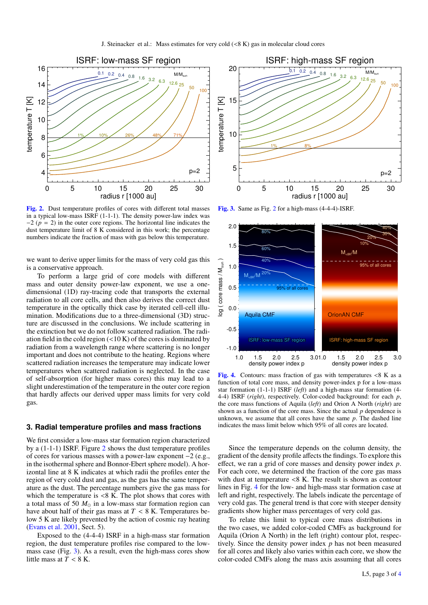

[Fig. 2.](http://dexter.edpsciences.org/applet.php?DOI=10.1051/0004-6361/201629068&pdf_id=2) Dust temperature profiles of cores with different total masses in a typical low-mass ISRF  $(1-1-1)$ . The density power-law index was  $-2$  ( $p = 2$ ) in the outer core regions. The horizontal line indicates the dust temperature limit of 8 K considered in this work; the percentage numbers indicate the fraction of mass with gas below this temperature.

we want to derive upper limits for the mass of very cold gas this is a conservative approach.

To perform a large grid of core models with different mass and outer density power-law exponent, we use a onedimensional (1D) ray-tracing code that transports the external radiation to all core cells, and then also derives the correct dust temperature in the optically thick case by iterated cell-cell illumination. Modifications due to a three-dimensional (3D) structure are discussed in the conclusions. We include scattering in the extinction but we do not follow scattered radiation. The radiation field in the cold region  $\left($  < 10 K) of the cores is dominated by radiation from a wavelength range where scattering is no longer important and does not contribute to the heating. Regions where scattered radiation increases the temperature may indicate lower temperatures when scattered radiation is neglected. In the case of self-absorption (for higher mass cores) this may lead to a slight underestimation of the temperature in the outer core region that hardly affects our derived upper mass limits for very cold gas.

#### **3. Radial temperature profiles and mass fractions**

We first consider a low-mass star formation region characterized by a (1-1-1) ISRF. Figure 2 shows the dust temperature profiles of cores for various masses with a power-law exponent −2 (e.g., in the isothermal sphere and Bonnor-Ebert sphere model). A horizontal line at 8 K indicates at which radii the profiles enter the region of very cold dust and gas, as the gas has the same temperature as the dust. The percentage numbers give the gas mass for which the temperature is  $\langle 8 \text{ K.} \rangle$ . The plot shows that cores with a total mass of 50  $M_{\odot}$  in a low-mass star formation region can have about half of their gas mass at  $T < 8$  K. Temperatures below 5 K are likely prevented by the action of cosmic ray heating (Evans et al. 2001, Sect. 5).

Exposed to the (4-4-4) ISRF in a high-mass star formation region, the dust temperature profiles rise compared to the lowmass case (Fig. 3). As a result, even the high-mass cores show little mass at  $T < 8$  K.



[Fig. 3.](http://dexter.edpsciences.org/applet.php?DOI=10.1051/0004-6361/201629068&pdf_id=3) Same as Fig. 2 for a high-mass (4-4-4)-ISRF.



[Fig. 4.](http://dexter.edpsciences.org/applet.php?DOI=10.1051/0004-6361/201629068&pdf_id=4) Contours: mass fraction of gas with temperatures  $\langle 8 \text{ K} \rangle$  as a function of total core mass, and density power-index p for a low-mass star formation (1-1-1) ISRF (*left*) and a high-mass star formation (4- 4-4) ISRF (*right*), respectively. Color-coded background: for each *p*, the core mass functions of Aquila (*left*) and Orion A North (*right*) are shown as a function of the core mass. Since the actual *p* dependence is unknown, we assume that all cores have the same *p*. The dashed line indicates the mass limit below which 95% of all cores are located.

Since the temperature depends on the column density, the gradient of the density profile affects the findings. To explore this effect, we ran a grid of core masses and density power index *p*. For each core, we determined the fraction of the core gas mass with dust at temperature  $\langle 8 \text{ K.} \rangle$ . The result is shown as contour lines in Fig. 4 for the low- and high-mass star formation case at left and right, respectively. The labels indicate the percentage of very cold gas. The general trend is that core with steeper density gradients show higher mass percentages of very cold gas.

To relate this limit to typical core mass distributions in the two cases, we added color-coded CMFs as background for Aquila (Orion A North) in the left (right) contour plot, respectively. Since the density power index *p* has not been measured for all cores and likely also varies within each core, we show the color-coded CMFs along the mass axis assuming that all cores